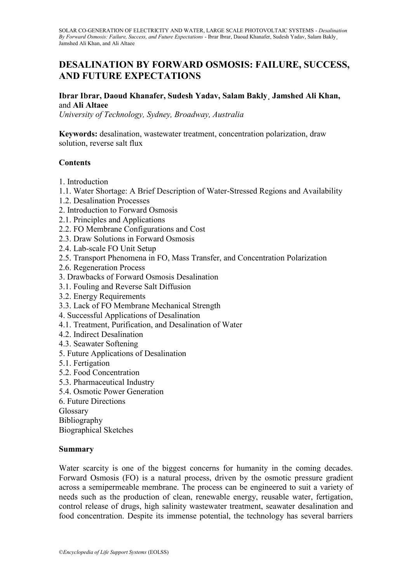# **DESALINATION BY FORWARD OSMOSIS: FAILURE, SUCCESS, AND FUTURE EXPECTATIONS**

### **Ibrar Ibrar, Daoud Khanafer, Sudesh Yadav, Salam Bakly¸ Jamshed Ali Khan,**  and **Ali Altaee**

*University of Technology, Sydney, Broadway, Australia*

**Keywords:** desalination, wastewater treatment, concentration polarization, draw solution, reverse salt flux

#### **Contents**

- 1. Introduction
- 1.1. Water Shortage: A Brief Description of Water-Stressed Regions and Availability
- 1.2. Desalination Processes
- 2. Introduction to Forward Osmosis
- 2.1. Principles and Applications
- 2.2. FO Membrane Configurations and Cost
- 2.3. Draw Solutions in Forward Osmosis
- 2.4. Lab-scale FO Unit Setup
- 2.5. Transport Phenomena in FO, Mass Transfer, and Concentration Polarization
- 2.6. Regeneration Process
- 3. Drawbacks of Forward Osmosis Desalination
- 3.1. Fouling and Reverse Salt Diffusion
- 3.2. Energy Requirements
- 3.3. Lack of FO Membrane Mechanical Strength
- 4. Successful Applications of Desalination
- 4.1. Treatment, Purification, and Desalination of Water
- 4.2. Indirect Desalination
- 4.3. Seawater Softening
- 5. Future Applications of Desalination
- 5.1. Fertigation
- 5.2. Food Concentration
- 5.3. Pharmaceutical Industry
- 5.4. Osmotic Power Generation
- 6. Future Directions
- Glossary
- Bibliography

Biographical Sketches

#### **Summary**

Water scarcity is one of the biggest concerns for humanity in the coming decades. Forward Osmosis (FO) is a natural process, driven by the osmotic pressure gradient across a semipermeable membrane. The process can be engineered to suit a variety of needs such as the production of clean, renewable energy, reusable water, fertigation, control release of drugs, high salinity wastewater treatment, seawater desalination and food concentration. Despite its immense potential, the technology has several barriers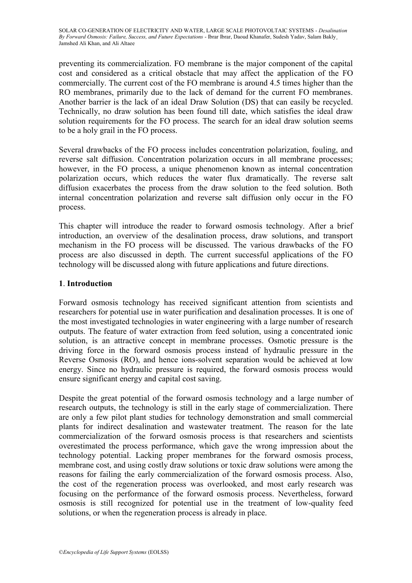preventing its commercialization. FO membrane is the major component of the capital cost and considered as a critical obstacle that may affect the application of the FO commercially. The current cost of the FO membrane is around 4.5 times higher than the RO membranes, primarily due to the lack of demand for the current FO membranes. Another barrier is the lack of an ideal Draw Solution (DS) that can easily be recycled. Technically, no draw solution has been found till date, which satisfies the ideal draw solution requirements for the FO process. The search for an ideal draw solution seems to be a holy grail in the FO process.

Several drawbacks of the FO process includes concentration polarization, fouling, and reverse salt diffusion. Concentration polarization occurs in all membrane processes; however, in the FO process, a unique phenomenon known as internal concentration polarization occurs, which reduces the water flux dramatically. The reverse salt diffusion exacerbates the process from the draw solution to the feed solution. Both internal concentration polarization and reverse salt diffusion only occur in the FO process.

This chapter will introduce the reader to forward osmosis technology. After a brief introduction, an overview of the desalination process, draw solutions, and transport mechanism in the FO process will be discussed. The various drawbacks of the FO process are also discussed in depth. The current successful applications of the FO technology will be discussed along with future applications and future directions.

# **1**. **Introduction**

Forward osmosis technology has received significant attention from scientists and researchers for potential use in water purification and desalination processes. It is one of the most investigated technologies in water engineering with a large number of research outputs. The feature of water extraction from feed solution, using a concentrated ionic solution, is an attractive concept in membrane processes. Osmotic pressure is the driving force in the forward osmosis process instead of hydraulic pressure in the Reverse Osmosis (RO), and hence ions-solvent separation would be achieved at low energy. Since no hydraulic pressure is required, the forward osmosis process would ensure significant energy and capital cost saving.

Despite the great potential of the forward osmosis technology and a large number of research outputs, the technology is still in the early stage of commercialization. There are only a few pilot plant studies for technology demonstration and small commercial plants for indirect desalination and wastewater treatment. The reason for the late commercialization of the forward osmosis process is that researchers and scientists overestimated the process performance, which gave the wrong impression about the technology potential. Lacking proper membranes for the forward osmosis process, membrane cost, and using costly draw solutions or toxic draw solutions were among the reasons for failing the early commercialization of the forward osmosis process. Also, the cost of the regeneration process was overlooked, and most early research was focusing on the performance of the forward osmosis process. Nevertheless, forward osmosis is still recognized for potential use in the treatment of low-quality feed solutions, or when the regeneration process is already in place.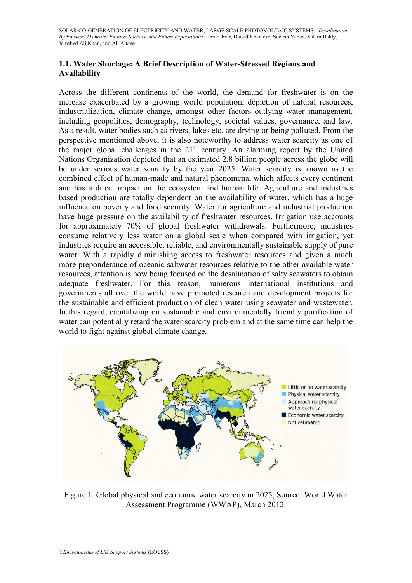## **1.1. Water Shortage: A Brief Description of Water-Stressed Regions and Availability**

Across the different continents of the world, the demand for freshwater is on the increase exacerbated by a growing world population, depletion of natural resources, industrialization, climate change, amongst other factors outlying water management, including geopolitics, demography, technology, societal values, governance, and law. As a result, water bodies such as rivers, lakes etc. are drying or being polluted. From the perspective mentioned above, it is also noteworthy to address water scarcity as one of the major global challenges in the 21st century. An alarming report by the United Nations Organization depicted that an estimated 2.8 billion people across the globe will be under serious water scarcity by the year 2025. Water scarcity is known as the combined effect of human-made and natural phenomena, which affects every continent and has a direct impact on the ecosystem and human life. Agriculture and industries based production are totally dependent on the availability of water, which has a huge influence on poverty and food security. Water for agriculture and industrial production have huge pressure on the availability of freshwater resources. Irrigation use accounts for approximately 70% of global freshwater withdrawals. Furthermore, industries consume relatively less water on a global scale when compared with irrigation, yet industries require an accessible, reliable, and environmentally sustainable supply of pure water. With a rapidly diminishing access to freshwater resources and given a much more preponderance of oceanic saltwater resources relative to the other available water resources, attention is now being focused on the desalination of salty seawaters to obtain adequate freshwater. For this reason, numerous international institutions and governments all over the world have promoted research and development projects for the sustainable and efficient production of clean water using seawater and wastewater. In this regard, capitalizing on sustainable and environmentally friendly purification of water can potentially retard the water scarcity problem and at the same time can help the world to fight against global climate change.



Figure 1. Global physical and economic water scarcity in 2025, Source: World Water Assessment Programme (WWAP), March 2012.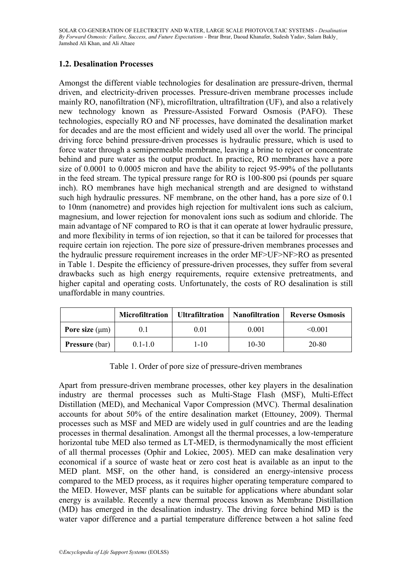## **1.2. Desalination Processes**

Amongst the different viable technologies for desalination are pressure-driven, thermal driven, and electricity-driven processes. Pressure-driven membrane processes include mainly RO, nanofiltration (NF), microfiltration, ultrafiltration (UF), and also a relatively new technology known as Pressure-Assisted Forward Osmosis (PAFO). These technologies, especially RO and NF processes, have dominated the desalination market for decades and are the most efficient and widely used all over the world. The principal driving force behind pressure-driven processes is hydraulic pressure, which is used to force water through a semipermeable membrane, leaving a brine to reject or concentrate behind and pure water as the output product. In practice, RO membranes have a pore size of 0.0001 to 0.0005 micron and have the ability to reject 95-99% of the pollutants in the feed stream. The typical pressure range for RO is 100-800 psi (pounds per square inch). RO membranes have high mechanical strength and are designed to withstand such high hydraulic pressures. NF membrane, on the other hand, has a pore size of 0.1 to 10nm (nanometre) and provides high rejection for multivalent ions such as calcium, magnesium, and lower rejection for monovalent ions such as sodium and chloride. The main advantage of NF compared to RO is that it can operate at lower hydraulic pressure, and more flexibility in terms of ion rejection, so that it can be tailored for processes that require certain ion rejection. The pore size of pressure-driven membranes processes and the hydraulic pressure requirement increases in the order MF>UF>NF>RO as presented in Table 1. Despite the efficiency of pressure-driven processes, they suffer from several drawbacks such as high energy requirements, require extensive pretreatments, and higher capital and operating costs. Unfortunately, the costs of RO desalination is still unaffordable in many countries.

|                       | <b>Microfiltration</b> | <b>Ultrafiltration</b> | <b>Nanofiltration</b> | <b>Reverse Osmosis</b> |
|-----------------------|------------------------|------------------------|-----------------------|------------------------|
| Pore size $(\mu m)$   | O. I                   | 0.01                   | 0.001                 | < 0.001                |
| <b>Pressure</b> (bar) | $01-10$                | 1-10                   | $10 - 30$             | 20-80                  |

Table 1. Order of pore size of pressure-driven membranes

Apart from pressure-driven membrane processes, other key players in the desalination industry are thermal processes such as Multi-Stage Flash (MSF), Multi-Effect Distillation (MED), and Mechanical Vapor Compression (MVC). Thermal desalination accounts for about 50% of the entire desalination market (Ettouney, 2009). Thermal processes such as MSF and MED are widely used in gulf countries and are the leading processes in thermal desalination. Amongst all the thermal processes, a low-temperature horizontal tube MED also termed as LT-MED, is thermodynamically the most efficient of all thermal processes (Ophir and Lokiec, 2005). MED can make desalination very economical if a source of waste heat or zero cost heat is available as an input to the MED plant. MSF, on the other hand, is considered an energy-intensive process compared to the MED process, as it requires higher operating temperature compared to the MED. However, MSF plants can be suitable for applications where abundant solar energy is available. Recently a new thermal process known as Membrane Distillation (MD) has emerged in the desalination industry. The driving force behind MD is the water vapor difference and a partial temperature difference between a hot saline feed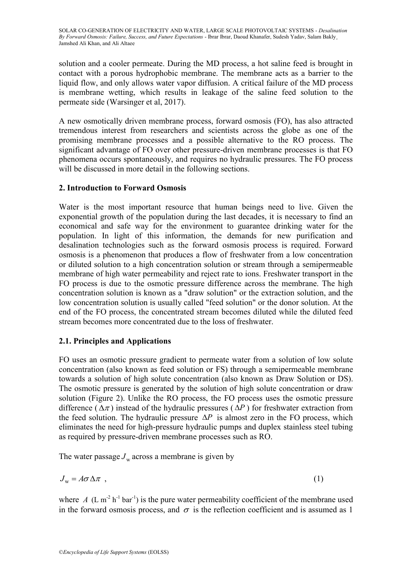solution and a cooler permeate. During the MD process, a hot saline feed is brought in contact with a porous hydrophobic membrane. The membrane acts as a barrier to the liquid flow, and only allows water vapor diffusion. A critical failure of the MD process is membrane wetting, which results in leakage of the saline feed solution to the permeate side (Warsinger et al, 2017).

A new osmotically driven membrane process, forward osmosis (FO), has also attracted tremendous interest from researchers and scientists across the globe as one of the promising membrane processes and a possible alternative to the RO process. The significant advantage of FO over other pressure-driven membrane processes is that FO phenomena occurs spontaneously, and requires no hydraulic pressures. The FO process will be discussed in more detail in the following sections.

## **2. Introduction to Forward Osmosis**

Water is the most important resource that human beings need to live. Given the exponential growth of the population during the last decades, it is necessary to find an economical and safe way for the environment to guarantee drinking water for the population. In light of this information, the demands for new purification and desalination technologies such as the forward osmosis process is required. Forward osmosis is a phenomenon that produces a flow of freshwater from a low concentration or diluted solution to a high concentration solution or stream through a semipermeable membrane of high water permeability and reject rate to ions. Freshwater transport in the FO process is due to the osmotic pressure difference across the membrane. The high concentration solution is known as a "draw solution" or the extraction solution, and the low concentration solution is usually called "feed solution" or the donor solution. At the end of the FO process, the concentrated stream becomes diluted while the diluted feed stream becomes more concentrated due to the loss of freshwater.

## **2.1. Principles and Applications**

FO uses an osmotic pressure gradient to permeate water from a solution of low solute concentration (also known as feed solution or FS) through a semipermeable membrane towards a solution of high solute concentration (also known as Draw Solution or DS). The osmotic pressure is generated by the solution of high solute concentration or draw solution (Figure 2). Unlike the RO process, the FO process uses the osmotic pressure difference ( $\Delta \pi$ ) instead of the hydraulic pressures ( $\Delta P$ ) for freshwater extraction from the feed solution. The hydraulic pressure  $\Delta P$  is almost zero in the FO process, which eliminates the need for high-pressure hydraulic pumps and duplex stainless steel tubing as required by pressure-driven membrane processes such as RO.

The water passage  $J_w$  across a membrane is given by

$$
J_{\rm w} = A\sigma \Delta \pi \tag{1}
$$

where  $A$  (L m<sup>-2</sup> h<sup>-1</sup> bar<sup>-1</sup>) is the pure water permeability coefficient of the membrane used in the forward osmosis process, and  $\sigma$  is the reflection coefficient and is assumed as 1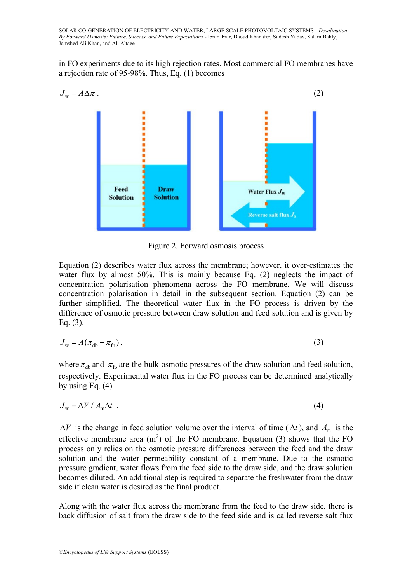in FO experiments due to its high rejection rates. Most commercial FO membranes have a rejection rate of 95-98%. Thus, Eq. (1) becomes



Figure 2. Forward osmosis process

Equation (2) describes water flux across the membrane; however, it over-estimates the water flux by almost 50%. This is mainly because Eq. (2) neglects the impact of concentration polarisation phenomena across the FO membrane. We will discuss concentration polarisation in detail in the subsequent section. Equation (2) can be further simplified. The theoretical water flux in the FO process is driven by the difference of osmotic pressure between draw solution and feed solution and is given by Eq. (3).

$$
J_{\rm w} = A(\pi_{\rm db} - \pi_{\rm fb}),\tag{3}
$$

where  $\pi_{db}$  and  $\pi_{fb}$  are the bulk osmotic pressures of the draw solution and feed solution, respectively. Experimental water flux in the FO process can be determined analytically by using Eq. (4)

$$
J_{\rm w} = \Delta V / A_{\rm m} \Delta t \tag{4}
$$

 $\Delta V$  is the change in feed solution volume over the interval of time ( $\Delta t$ ), and  $A_{\text{m}}$  is the effective membrane area  $(m^2)$  of the FO membrane. Equation (3) shows that the FO process only relies on the osmotic pressure differences between the feed and the draw solution and the water permeability constant of a membrane. Due to the osmotic pressure gradient, water flows from the feed side to the draw side, and the draw solution becomes diluted. An additional step is required to separate the freshwater from the draw side if clean water is desired as the final product.

Along with the water flux across the membrane from the feed to the draw side, there is back diffusion of salt from the draw side to the feed side and is called reverse salt flux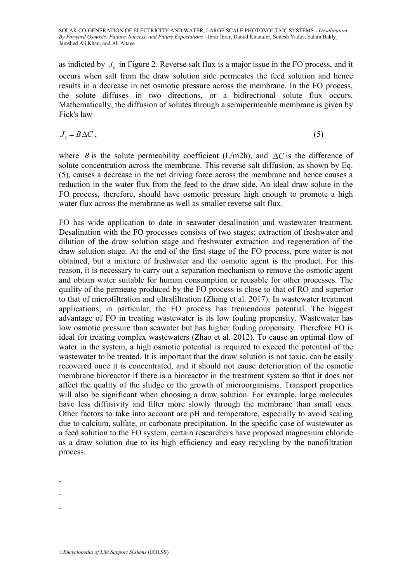as indicted by  $J_s$  in Figure 2. Reverse salt flux is a major issue in the FO process, and it occurs when salt from the draw solution side permeates the feed solution and hence results in a decrease in net osmotic pressure across the membrane. In the FO process, the solute diffuses in two directions, or a bidirectional solute flux occurs. Mathematically, the diffusion of solutes through a semipermeable membrane is given by Fick's law

$$
J_s = B \Delta C \,,\tag{5}
$$

where *B* is the solute permeability coefficient (L/m2h), and  $\Delta C$  is the difference of solute concentration across the membrane. This reverse salt diffusion, as shown by Eq. (5), causes a decrease in the net driving force across the membrane and hence causes a reduction in the water flux from the feed to the draw side. An ideal draw solute in the FO process, therefore, should have osmotic pressure high enough to promote a high water flux across the membrane as well as smaller reverse salt flux.

FO has wide application to date in seawater desalination and wastewater treatment. Desalination with the FO processes consists of two stages; extraction of freshwater and dilution of the draw solution stage and freshwater extraction and regeneration of the draw solution stage. At the end of the first stage of the FO process, pure water is not obtained, but a mixture of freshwater and the osmotic agent is the product. For this reason, it is necessary to carry out a separation mechanism to remove the osmotic agent and obtain water suitable for human consumption or reusable for other processes. The quality of the permeate produced by the FO process is close to that of RO and superior to that of microfiltration and ultrafiltration (Zhang et al. 2017). In wastewater treatment applications, in particular, the FO process has tremendous potential. The biggest advantage of FO in treating wastewater is its low fouling propensity. Wastewater has low osmotic pressure than seawater but has higher fouling propensity. Therefore FO is ideal for treating complex wastewaters (Zhao et al. 2012). To cause an optimal flow of water in the system, a high osmotic potential is required to exceed the potential of the wastewater to be treated. It is important that the draw solution is not toxic, can be easily recovered once it is concentrated, and it should not cause deterioration of the osmotic membrane bioreactor if there is a bioreactor in the treatment system so that it does not affect the quality of the sludge or the growth of microorganisms. Transport properties will also be significant when choosing a draw solution. For example, large molecules have less diffusivity and filter more slowly through the membrane than small ones. Other factors to take into account are pH and temperature, especially to avoid scaling due to calcium, sulfate, or carbonate precipitation. In the specific case of wastewater as a feed solution to the FO system, certain researchers have proposed magnesium chloride as a draw solution due to its high efficiency and easy recycling by the nanofiltration process.

- -
- -

<sup>-</sup>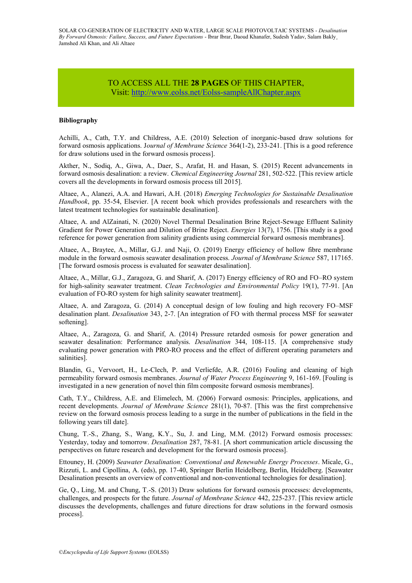#### TO ACCESS ALL THE **28 PAGES** OF THIS CHAPTER, Vis[it:](https://www.eolss.net/ebooklib/sc_cart.aspx?File=E6-107-16) <http://www.eolss.net/Eolss-sampleAllChapter.aspx>

#### **Bibliography**

Achilli, A., Cath, T.Y. and Childress, A.E. (2010) Selection of inorganic-based draw solutions for forward osmosis applications. J*ournal of Membrane Science* 364(1-2), 233-241. [This is a good reference for draw solutions used in the forward osmosis process].

Akther, N., Sodiq, A., Giwa, A., Daer, S., Arafat, H. and Hasan, S. (2015) Recent advancements in forward osmosis desalination: a review. *Chemical Engineering Journal* 281, 502-522. [This review article covers all the developments in forward osmosis process till 2015].

Altaee, A., Alanezi, A.A. and Hawari, A.H. (2018) *Emerging Technologies for Sustainable Desalination Handbook*, pp. 35-54, Elsevier. [A recent book which provides professionals and researchers with the latest treatment technologies for sustainable desalination].

Altaee, A. and AlZainati, N. (2020) Novel Thermal Desalination Brine Reject-Sewage Effluent Salinity Gradient for Power Generation and Dilution of Brine Reject. *Energies* 13(7), 1756. [This study is a good reference for power generation from salinity gradients using commercial forward osmosis membranes].

Altaee, A., Braytee, A., Millar, G.J. and Naji, O. (2019) Energy efficiency of hollow fibre membrane module in the forward osmosis seawater desalination process. *Journal of Membrane Science* 587, 117165. [The forward osmosis process is evaluated for seawater desalination].

Altaee, A., Millar, G.J., Zaragoza, G. and Sharif, A. (2017) Energy efficiency of RO and FO–RO system for high-salinity seawater treatment. *Clean Technologies and Environmental Policy* 19(1), 77-91. [An evaluation of FO-RO system for high salinity seawater treatment].

Altaee, A. and Zaragoza, G. (2014) A conceptual design of low fouling and high recovery FO–MSF desalination plant. *Desalination* 343, 2-7. [An integration of FO with thermal process MSF for seawater softening].

Altaee, A., Zaragoza, G. and Sharif, A. (2014) Pressure retarded osmosis for power generation and seawater desalination: Performance analysis. *Desalination* 344, 108-115. [A comprehensive study evaluating power generation with PRO-RO process and the effect of different operating parameters and salinities].

Blandin, G., Vervoort, H., Le-Clech, P. and Verliefde, A.R. (2016) Fouling and cleaning of high permeability forward osmosis membranes. *Journal of Water Process Engineering* 9, 161-169. [Fouling is investigated in a new generation of novel thin film composite forward osmosis membranes].

Cath, T.Y., Childress, A.E. and Elimelech, M. (2006) Forward osmosis: Principles, applications, and recent developments. *Journal of Membrane Science* 281(1), 70-87. [This was the first comprehensive review on the forward osmosis process leading to a surge in the number of publications in the field in the following years till date].

Chung, T.-S., Zhang, S., Wang, K.Y., Su, J. and Ling, M.M. (2012) Forward osmosis processes: Yesterday, today and tomorrow. *Desalination* 287, 78-81. [A short communication article discussing the perspectives on future research and development for the forward osmosis process].

Ettouney, H. (2009) *Seawater Desalination: Conventional and Renewable Energy Processes*. Micale, G., Rizzuti, L. and Cipollina, A. (eds), pp. 17-40, Springer Berlin Heidelberg, Berlin, Heidelberg. [Seawater Desalination presents an overview of conventional and non-conventional technologies for desalination].

Ge, Q., Ling, M. and Chung, T.-S. (2013) Draw solutions for forward osmosis processes: developments, challenges, and prospects for the future. *Journal of Membrane Science* 442, 225-237. [This review article discusses the developments, challenges and future directions for draw solutions in the forward osmosis process].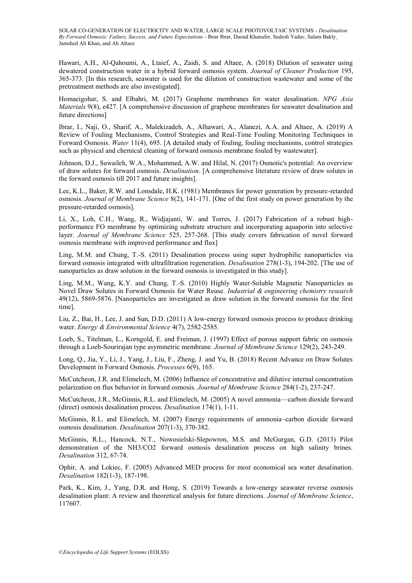Hawari, A.H., Al-Qahoumi, A., Ltaief, A., Zaidi, S. and Altaee, A. (2018) Dilution of seawater using dewatered construction water in a hybrid forward osmosis system. *Journal of Cleaner Production* 195, 365-373. [In this research, seawater is used for the dilution of construction wastewater and some of the pretreatment methods are also investigated].

Homaeigohar, S. and Elbahri, M. (2017) Graphene membranes for water desalination. *NPG Asia Materials* 9(8), e427. [A comprehensive discussion of graphene membranes for seawater desalination and future directions]

Ibrar, I., Naji, O., Sharif, A., Malekizadeh, A., Alhawari, A., Alanezi, A.A. and Altaee, A. (2019) A Review of Fouling Mechanisms, Control Strategies and Real-Time Fouling Monitoring Techniques in Forward Osmosis. *Water* 11(4), 695. [A detailed study of fouling, fouling mechanisms, control strategies such as physical and chemical cleaning of forward osmosis membrane fouled by wastewater].

Johnson, D.J., Suwaileh, W.A., Mohammed, A.W. and Hilal, N. (2017) Osmotic's potential: An overview of draw solutes for forward osmosis. *Desalination*. [A comprehensive literature review of draw solutes in the forward osmosis till 2017 and future insights].

Lee, K.L., Baker, R.W. and Lonsdale, H.K. (1981) Membranes for power generation by pressure-retarded osmosis. *Journal of Membrane Science* 8(2), 141-171. [One of the first study on power generation by the pressure-retarded osmosis].

Li, X., Loh, C.H., Wang, R., Widjajanti, W. and Torres, J. (2017) Fabrication of a robust highperformance FO membrane by optimizing substrate structure and incorporating aquaporin into selective layer. *Journal of Membrane Science* 525, 257-268. [This study covers fabrication of novel forward osmosis membrane with improved performance and flux]

Ling, M.M. and Chung, T.-S. (2011) Desalination process using super hydrophilic nanoparticles via forward osmosis integrated with ultrafiltration regeneration. *Desalination* 278(1-3), 194-202. [The use of nanoparticles as draw solution in the forward osmosis is investigated in this study].

Ling, M.M., Wang, K.Y. and Chung, T.-S. (2010) Highly Water-Soluble Magnetic Nanoparticles as Novel Draw Solutes in Forward Osmosis for Water Reuse. *Industrial & engineering chemistry research* 49(12), 5869-5876. [Nanoparticles are investigated as draw solution in the forward osmosis for the first time].

Liu, Z., Bai, H., Lee, J. and Sun, D.D. (2011) A low-energy forward osmosis process to produce drinking water. *Energy & Environmental Science* 4(7), 2582-2585.

Loeb, S., Titelman, L., Korngold, E. and Freiman, J. (1997) Effect of porous support fabric on osmosis through a Loeb-Sourirajan type asymmetric membrane. *Journal of Membrane Science* 129(2), 243-249.

Long, Q., Jia, Y., Li, J., Yang, J., Liu, F., Zheng, J. and Yu, B. (2018) Recent Advance on Draw Solutes Development in Forward Osmosis. *Processes* 6(9), 165.

McCutcheon, J.R. and Elimelech, M. (2006) Influence of concentrative and dilutive internal concentration polarization on flux behavior in forward osmosis. *Journal of Membrane Science* 284(1-2), 237-247.

McCutcheon, J.R., McGinnis, R.L. and Elimelech, M. (2005) A novel ammonia—carbon dioxide forward (direct) osmosis desalination process. *Desalination* 174(1), 1-11.

McGinnis, R.L. and Elimelech, M. (2007) Energy requirements of ammonia–carbon dioxide forward osmosis desalination. *Desalination* 207(1-3), 370-382.

McGinnis, R.L., Hancock, N.T., Nowosielski-Slepowron, M.S. and McGurgan, G.D. (2013) Pilot demonstration of the NH3/CO2 forward osmosis desalination process on high salinity brines. *Desalination* 312, 67-74.

Ophir, A. and Lokiec, F. (2005) Advanced MED process for most economical sea water desalination. *Desalination* 182(1-3), 187-198.

Park, K., Kim, J., Yang, D.R. and Hong, S. (2019) Towards a low-energy seawater reverse osmosis desalination plant: A review and theoretical analysis for future directions. *Journal of Membrane Science*, 117607.